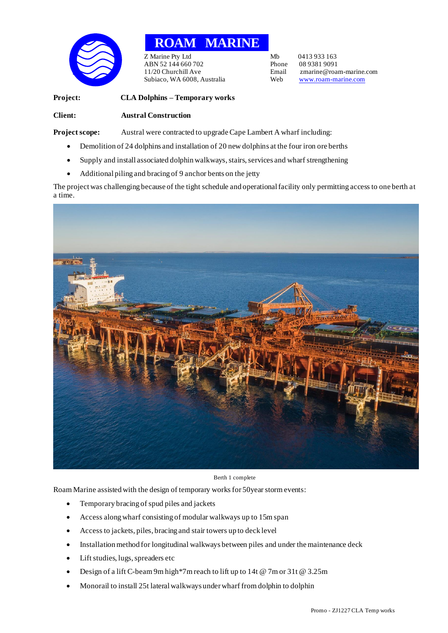

## **ROAM MARINE**

Z Marine Pty Ltd Mb 0413 933 163<br>ABN 52 144 660 702 Phone 08 9381 9091 ABN 52 144 660 702 Phone<br>11/20 Churchill Ave Email Subiaco, WA 6008, Australia Web [www.roam-marine.com](http://www.roam-marine.com/)

Email zmarine@roam-marine.com<br>Web www.roam-marine.com

**Project: CLA Dolphins – Temporary works Client: Austral Construction**

**Project scope:** Austral were contracted to upgrade Cape Lambert A wharf including:

- Demolition of 24 dolphins and installation of 20 new dolphins at the four iron ore berths
- Supply and install associated dolphin walkways, stairs, services and wharf strengthening
- Additional piling and bracing of 9 anchor bents on the jetty

The project was challenging because of the tight schedule and operational facility only permitting access to one berth at a time.



Berth 1 complete

Roam Marine assisted with the design of temporary works for 50year storm events:

- Temporary bracing of spud piles and jackets
- Access along wharf consisting of modular walkways up to 15m span
- Access to jackets, piles, bracing and stair towers up to deck level
- Installation method for longitudinal walkways between piles and under the maintenance deck
- Lift studies, lugs, spreaders etc
- Design of a lift C-beam 9m high\*7m reach to lift up to 14t @ 7m or 31t @ 3.25m
- Monorail to install 25t lateral walkways under wharffrom dolphin to dolphin